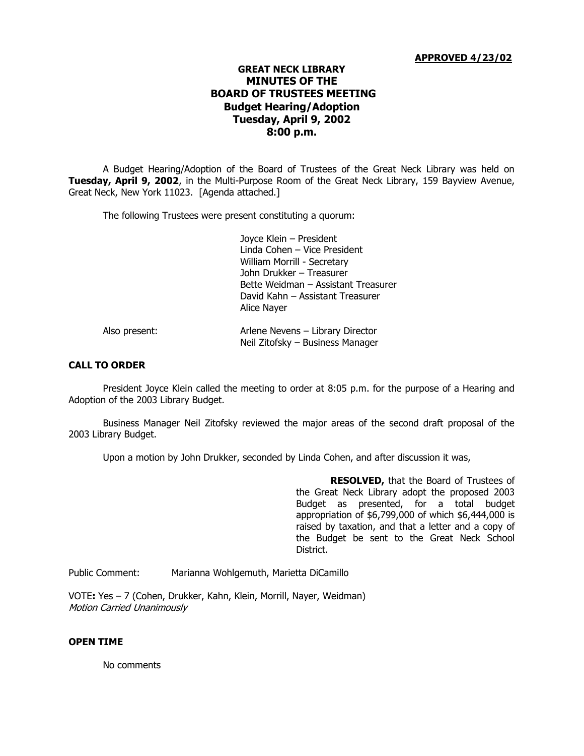### **APPROVED 4/23/02**

# **GREAT NECK LIBRARY MINUTES OF THE BOARD OF TRUSTEES MEETING Budget Hearing/Adoption Tuesday, April 9, 2002 8:00 p.m.**

A Budget Hearing/Adoption of the Board of Trustees of the Great Neck Library was held on **Tuesday, April 9, 2002**, in the Multi-Purpose Room of the Great Neck Library, 159 Bayview Avenue, Great Neck, New York 11023. [Agenda attached.]

The following Trustees were present constituting a quorum:

Joyce Klein – President Linda Cohen – Vice President William Morrill - Secretary John Drukker – Treasurer Bette Weidman – Assistant Treasurer David Kahn – Assistant Treasurer Alice Nayer

| Also present: | Arlene Nevens - Library Director |
|---------------|----------------------------------|
|               | Neil Zitofsky – Business Manager |

#### **CALL TO ORDER**

President Joyce Klein called the meeting to order at 8:05 p.m. for the purpose of a Hearing and Adoption of the 2003 Library Budget.

Business Manager Neil Zitofsky reviewed the major areas of the second draft proposal of the 2003 Library Budget.

Upon a motion by John Drukker, seconded by Linda Cohen, and after discussion it was,

**RESOLVED,** that the Board of Trustees of the Great Neck Library adopt the proposed 2003 Budget as presented, for a total budget appropriation of \$6,799,000 of which \$6,444,000 is raised by taxation, and that a letter and a copy of the Budget be sent to the Great Neck School District.

Public Comment: Marianna Wohlgemuth, Marietta DiCamillo

VOTE**:** Yes – 7 (Cohen, Drukker, Kahn, Klein, Morrill, Nayer, Weidman) Motion Carried Unanimously

### **OPEN TIME**

No comments